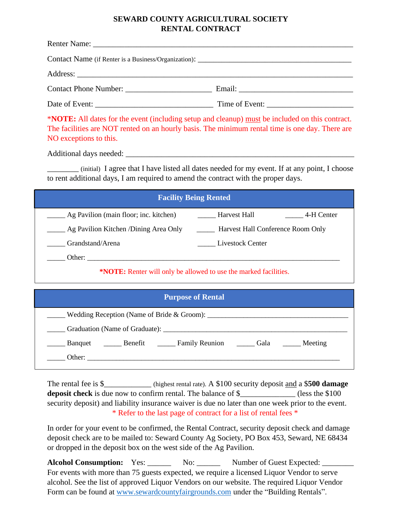## **SEWARD COUNTY AGRICULTURAL SOCIETY RENTAL CONTRACT**

| Contact Phone Number:         |  |  |  |  |  |
|-------------------------------|--|--|--|--|--|
| Date of Event: Time of Event: |  |  |  |  |  |

\***NOTE:** All dates for the event (including setup and cleanup) must be included on this contract. The facilities are NOT rented on an hourly basis. The minimum rental time is one day. There are NO exceptions to this.

Additional days needed: \_\_\_\_\_\_\_\_\_\_\_\_\_\_\_\_\_\_\_\_\_\_\_\_\_\_\_\_\_\_\_\_\_\_\_\_\_\_\_\_\_\_\_\_\_\_\_\_\_\_\_\_\_\_\_\_\_\_

\_\_\_\_\_\_\_\_ (initial) I agree that I have listed all dates needed for my event. If at any point, I choose to rent additional days, I am required to amend the contract with the proper days.

| <b>Facility Being Rented</b>                                            |                                   |  |  |  |
|-------------------------------------------------------------------------|-----------------------------------|--|--|--|
| Ag Pavilion (main floor; inc. kitchen)                                  | Harvest Hall<br>4-H Center        |  |  |  |
| ____ Ag Pavilion Kitchen /Dining Area Only                              | Harvest Hall Conference Room Only |  |  |  |
| Grandstand/Arena                                                        | Livestock Center                  |  |  |  |
| Other:                                                                  |                                   |  |  |  |
| <b>*NOTE:</b> Renter will only be allowed to use the marked facilities. |                                   |  |  |  |

| <b>Purpose of Rental</b>                                  |  |                                                                                    |  |  |
|-----------------------------------------------------------|--|------------------------------------------------------------------------------------|--|--|
| $\blacksquare$ Wedding Reception (Name of Bride & Groom): |  |                                                                                    |  |  |
|                                                           |  |                                                                                    |  |  |
|                                                           |  | Banquet ________ Benefit _________ Family Reunion _________ Gala _________ Meeting |  |  |
|                                                           |  |                                                                                    |  |  |
|                                                           |  |                                                                                    |  |  |

The rental fee is \$\_\_\_\_\_\_\_\_\_\_\_\_\_\_ (highest rental rate). A \$100 security deposit and a \$**500 damage deposit check** is due now to confirm rental. The balance of \$\_\_\_\_\_\_\_\_\_\_\_\_\_\_ (less the \$100 security deposit) and liability insurance waiver is due no later than one week prior to the event. \* Refer to the last page of contract for a list of rental fees \*

In order for your event to be confirmed, the Rental Contract, security deposit check and damage deposit check are to be mailed to: Seward County Ag Society, PO Box 453, Seward, NE 68434 or dropped in the deposit box on the west side of the Ag Pavilion.

Alcohol Consumption: Yes: \_\_\_\_\_\_ No: \_\_\_\_\_ Number of Guest Expected: \_\_\_\_\_\_\_ For events with more than 75 guests expected, we require a licensed Liquor Vendor to serve alcohol. See the list of approved Liquor Vendors on our website. The required Liquor Vendor Form can be found at [www.sewardcountyfairgrounds.com](http://www.sewardcountyfairgrounds.com/) under the "Building Rentals".